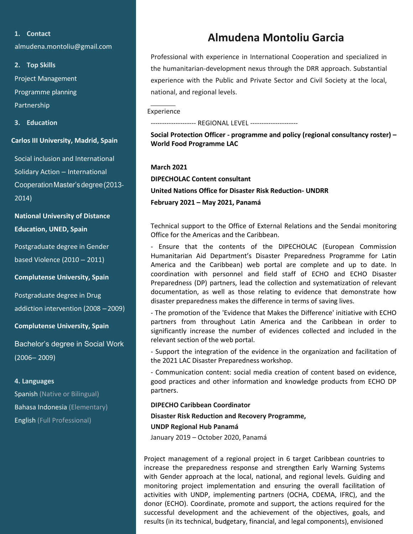## **1. Contact**

[almudena.montoliu@gmail.com](mailto:almudena.montoliu@gmail.com)

**2. Top Skills** Project Management Programme planning Partnership

**3. Education**

**Carlos III University, Madrid, Spain**

Social inclusion and International Solidary Action – International CooperationMaster's degree(2013- 2014)

**National University of Distance Education, UNED, Spain**

Postgraduate degree in Gender based Violence (2010 – 2011)

**Complutense University, Spain**

Postgraduate degree in Drug addiction intervention (2008 –2009)

**Complutense University, Spain**

Bachelor's degree in Social Work (2006– 2009)

## **4. Languages**

Spanish (Native or Bilingual) Bahasa Indonesia (Elementary) English (Full Professional)

# **Almudena Montoliu Garcia**

Professional with experience in International Cooperation and specialized in the humanitarian-development nexus through the DRR approach. Substantial experience with the Public and Private Sector and Civil Society at the local, national, and regional levels.

Experience

--------------- REGIONAL LEVEL -------------------

**Social Protection Officer - programme and policy (regional consultancy roster) – World Food Programme LAC**

**March 2021 DIPECHOLAC Content consultant United Nations Office for Disaster Risk Reduction- UNDRR February 2021 – May 2021, Panamá**

Technical support to the Office of External Relations and the Sendai monitoring Office for the Americas and the Caribbean.

- Ensure that the contents of the DIPECHOLAC (European Commission Humanitarian Aid Department's Disaster Preparedness Programme for Latin America and the Caribbean) web portal are complete and up to date. In coordination with personnel and field staff of ECHO and ECHO Disaster Preparedness (DP) partners, lead the collection and systematization of relevant documentation, as well as those relating to evidence that demonstrate how disaster preparedness makes the difference in terms of saving lives.

- The promotion of the 'Evidence that Makes the Difference' initiative with ECHO partners from throughout Latin America and the Caribbean in order to significantly increase the number of evidences collected and included in the relevant section of the web portal.

- Support the integration of the evidence in the organization and facilitation of the 2021 LAC Disaster Preparedness workshop.

- Communication content: social media creation of content based on evidence, good practices and other information and knowledge products from ECHO DP partners.

# **DIPECHO Caribbean Coordinator**

**Disaster Risk Reduction and Recovery Programme, UNDP Regional Hub Panamá**

January 2019 – October 2020, Panamá

Project management of a regional project in 6 target Caribbean countries to increase the preparedness response and strengthen Early Warning Systems with Gender approach at the local, national, and regional levels. Guiding and monitoring project implementation and ensuring the overall facilitation of activities with UNDP, implementing partners (OCHA, CDEMA, IFRC), and the donor (ECHO). Coordinate, promote and support, the actions required for the successful development and the achievement of the objectives, goals, and results (in its technical, budgetary, financial, and legal components), envisioned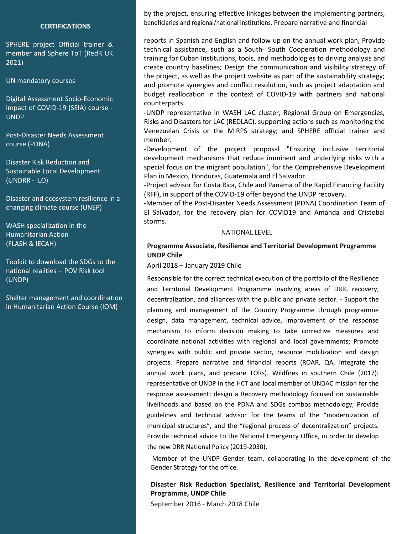#### **CERTIFICATIONS**

SPHERE project Official trainer & member and Sphere ToT (RedR UK 2021)

UN mandatory courses

Digital Assessment Socio-Economic impact of COVID-19 (SEIA) course - UNDP

Post-Disaster Needs Assessment course (PDNA)

Disaster Risk Reduction and Sustainable Local Development (UNDRR - ILO)

Disaster and ecosystem resilience in a changing climate course (UNEP)

WASH specialization in the  $(FLASH & ECAH)$ Humanitarian Action

national realities – POV Risk tool Toolkit to download the SDGs to the (UNDP)

Shelter management and coordination in Humanitarian Action Course (IOM)

by the project, ensuring effective linkages between the implementing partners, beneficiaries and regional/national institutions. Prepare narrative and financial

reports in Spanish and English and follow up on the annual work plan; Provide technical assistance, such as a South- South Cooperation methodology and training for Cuban Institutions, tools, and methodologies to driving analysis and create country baselines; Design the communication and visibility strategy of the project, as well as the project website as part of the sustainability strategy; and promote synergies and conflict resolution, such as project adaptation and budget reallocation in the context of COVID-19 with partners and national counterparts.

-UNDP representative in WASH LAC cluster, Regional Group on Emergencies, Risks and Disasters for LAC (REDLAC), supporting actions such as monitoring the Venezuelan Crisis or the MIRPS strategy; and SPHERE official trainer and member.

-Development of the project proposal "Ensuring inclusive territorial development mechanisms that reduce imminent and underlying risks with a special focus on the migrant population", for the Comprehensive Development Plan in Mexico, Honduras, Guatemala and El Salvador.

-Project advisor for Costa Rica, Chile and Panama of the Rapid Financing Facility (RFF), in support of the COVID-19 offer beyond the UNDP recovery.

-Member of the Post-Disaster Needs Assessment (PDNA) Coordination Team of El Salvador, for the recovery plan for COVID19 and Amanda and Cristobal storms.

NATIONAL LEVEL

# **Programme Associate, Resilience and Territorial Development Programme UNDP Chile**

April 2018 – January 2019 Chile

Responsible for the correct technical execution of the portfolio of the Resilience and Territorial Development Programme involving areas of DRR, recovery, decentralization, and alliances with the public and private sector. - Support the planning and management of the Country Programme through programme design, data management, technical advice, improvement of the response mechanism to inform decision making to take corrective measures and coordinate national activities with regional and local governments; Promote synergies with public and private sector, resource mobilization and design projects. Prepare narrative and financial reports (ROAR, QA, integrate the annual work plans, and prepare TORs). Wildfires in southern Chile (2017): representative of UNDP in the HCT and local member of UNDAC mission for the response assessment; design a Recovery methodology focused on sustainable livelihoods and based on the PDNA and SDGs combos methodology; Provide guidelines and technical advisor for the teams of the "modernization of municipal structures", and the "regional process of decentralization" projects. Provide technical advice to the National Emergency Office, in order to develop the new DRR National Policy (2019-2030).

Member of the UNDP Gender team, collaborating in the development of the Gender Strategy for the office.

## **Disaster Risk Reduction Specialist, Resilience and Territorial Development Programme, UNDP Chile**

September 2016 - March 2018 Chile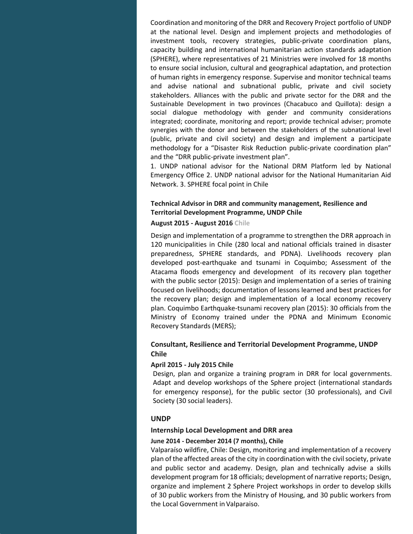Coordination and monitoring of the DRR and Recovery Project portfolio of UNDP at the national level. Design and implement projects and methodologies of investment tools, recovery strategies, public-private coordination plans, capacity building and international humanitarian action standards adaptation (SPHERE), where representatives of 21 Ministries were involved for 18 months to ensure social inclusion, cultural and geographical adaptation, and protection of human rights in emergency response. Supervise and monitor technical teams and advise national and subnational public, private and civil society stakeholders. Alliances with the public and private sector for the DRR and the Sustainable Development in two provinces (Chacabuco and Quillota): design a social dialogue methodology with gender and community considerations integrated; coordinate, monitoring and report; provide technical adviser; promote synergies with the donor and between the stakeholders of the subnational level (public, private and civil society) and design and implement a participate methodology for a "Disaster Risk Reduction public-private coordination plan" and the "DRR public-private investment plan".

1. UNDP national advisor for the National DRM Platform led by National Emergency Office 2. UNDP national advisor for the National Humanitarian Aid Network. 3. SPHERE focal point in Chile

# **Technical Advisor in DRR and community management, Resilience and Territorial Development Programme, UNDP Chile**

## **August 2015 - August 2016 Chile**

Design and implementation of a programme to strengthen the DRR approach in 120 municipalities in Chile (280 local and national officials trained in disaster preparedness, SPHERE standards, and PDNA). Livelihoods recovery plan developed post-earthquake and tsunami in Coquimbo; Assessment of the Atacama floods emergency and development of its recovery plan together with the public sector (2015): Design and implementation of a series of training focused on livelihoods; documentation of lessons learned and best practices for the recovery plan; design and implementation of a local economy recovery plan. Coquimbo Earthquake-tsunami recovery plan (2015): 30 officials from the Ministry of Economy trained under the PDNA and Minimum Economic Recovery Standards (MERS);

# **Consultant, Resilience and Territorial Development Programme, UNDP Chile**

#### **April 2015 - July 2015 Chile**

Design, plan and organize a training program in DRR for local governments. Adapt and develop workshops of the Sphere project (international standards for emergency response), for the public sector (30 professionals), and Civil Society (30 social leaders).

#### **UNDP**

Digital Assessment Socio-Economic impact of C

#### **Internship Local Development and DRR area**

## **June 2014 - December 2014 (7 months), Chile**

Valparaíso wildfire, Chile: Design, monitoring and implementation of a recovery plan of the affected areas of the city in coordination with the civil society, private and public sector and academy. Design, plan and technically advise a skills development program for 18 officials; development of narrative reports; Design, organize and implement 2 Sphere Project workshops in order to develop skills of 30 public workers from the Ministry of Housing, and 30 public workers from the Local Government in Valparaiso.